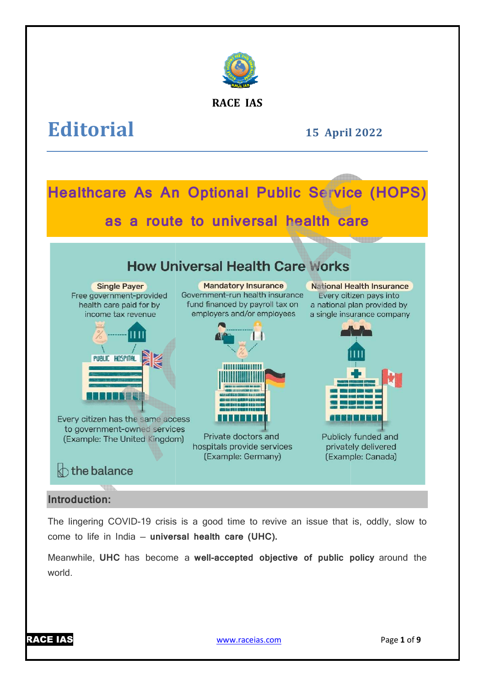

# **RACE IAS**

# **Editorial**

**15 April April 2022** 

### **Healthcare As An Optional Public Service (HOPS) as a route to universal health care How Universal Health Care Works Single Payer Mandatory Insurance** National Health Insurance Free government-provided Government-run health insurance Every citizen pays into fund financed by payroll tax on health care paid for by a national plan provided by income tax revenue employers and/or employees a single insurance company PUBLIC HOSPITAL **HIIIIIIIIIIIIIII** HIII **THE TELESCOPE** u da Bito Every citizen has the same access to government-owned services Private doctors and Publicly funded and (Example: The United Kingdom) hospitals provide services privately delivered (Example: Germany) (Example: Canada)  $\Diamond$  the balance

# **Introduction:**

The lingering COVID-19 crisis is a good time to revive an issue that is, oddly, slow to come to life in India — **universal health care (UHC).**

Meanwhile, UHC has become a well-accepted objective of public policy around the world.

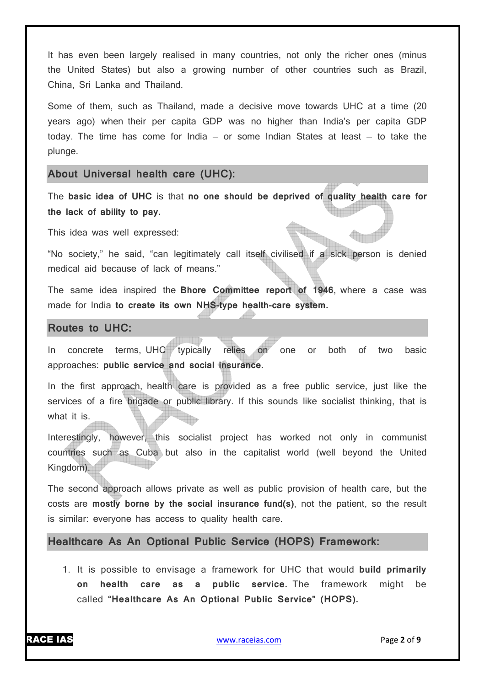It has even been largely realised in many countries, not only the richer ones (minus the United States) but also a growing number of other countries such as Brazil, China, Sri Lanka and Thailand.

Some of them, such as Thailand, made a decisive move towards UHC at a time (20 years ago) when their per capita GDP was no higher than India's per capita GDP today. The time has come for India  $-$  or some Indian States at least  $-$  to take the plunge.

#### **About Universal health care (UHC):**

The **basic idea of UHC** is that **no one should be deprived of quality health care for the lack of ability to pay.**

This idea was well expressed:

"No society," he said, "can legitimately call itself civilised if a sick person is denied medical aid because of lack of means."

The same idea inspired the **Bhore Committee report of 1946**, where a case was made for India **to create its own NHS-type health-care system.**

#### **Routes to UHC:**

In concrete terms, UHC typically relies on one or both of two basic approaches: **public service and social insurance.**

In the first approach, health care is provided as a free public service, just like the services of a fire brigade or public library. If this sounds like socialist thinking, that is what it is.

Interestingly, however, this socialist project has worked not only in communist countries such as Cuba but also in the capitalist world (well beyond the United Kingdom).

The second approach allows private as well as public provision of health care, but the costs are **mostly borne by the social insurance fund(s)**, not the patient, so the result is similar: everyone has access to quality health care.

#### **Healthcare As An Optional Public Service (HOPS) Framework:**

1. It is possible to envisage a framework for UHC that would **build primarily on health care as a public service.** The framework might be called **"Healthcare As An Optional Public Service" (HOPS).**

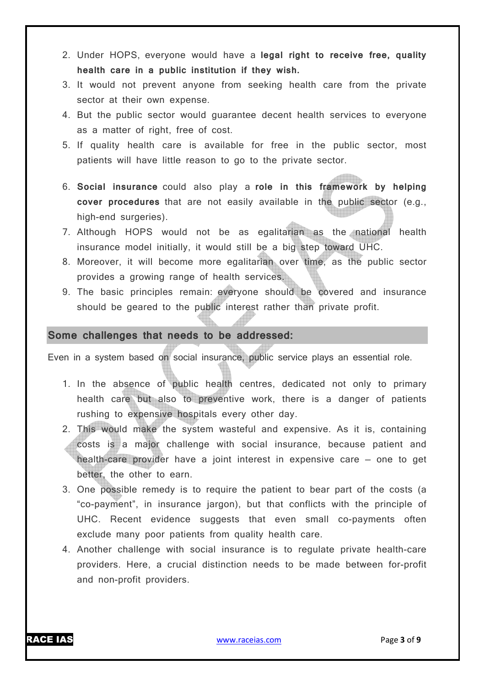- 2. Under HOPS, everyone would have a **legal right to receive free, quality health care in a public institution if they wish.**
- 3. It would not prevent anyone from seeking health care from the private sector at their own expense.
- 4. But the public sector would guarantee decent health services to everyone as a matter of right, free of cost.
- 5. If quality health care is available for free in the public sector, most patients will have little reason to go to the private sector.
- 6. **Social insurance** could also play a **role in this framework by helping cover procedures** that are not easily available in the public sector (e.g., high-end surgeries).
- 7. Although HOPS would not be as egalitarian as the national health insurance model initially, it would still be a big step toward UHC.
- 8. Moreover, it will become more egalitarian over time, as the public sector provides a growing range of health services.
- 9. The basic principles remain: everyone should be covered and insurance should be geared to the public interest rather than private profit.

## **Some challenges that needs to be addressed:**

Even in a system based on social insurance, public service plays an essential role.

- 1. In the absence of public health centres, dedicated not only to primary health care but also to preventive work, there is a danger of patients rushing to expensive hospitals every other day.
- 2. This would make the system wasteful and expensive. As it is, containing costs is a major challenge with social insurance, because patient and health-care provider have a joint interest in expensive care — one to get better, the other to earn.
- 3. One possible remedy is to require the patient to bear part of the costs (a "co-payment", in insurance jargon), but that conflicts with the principle of UHC. Recent evidence suggests that even small co-payments often exclude many poor patients from quality health care.
- 4. Another challenge with social insurance is to regulate private health-care providers. Here, a crucial distinction needs to be made between for-profit and non-profit providers.

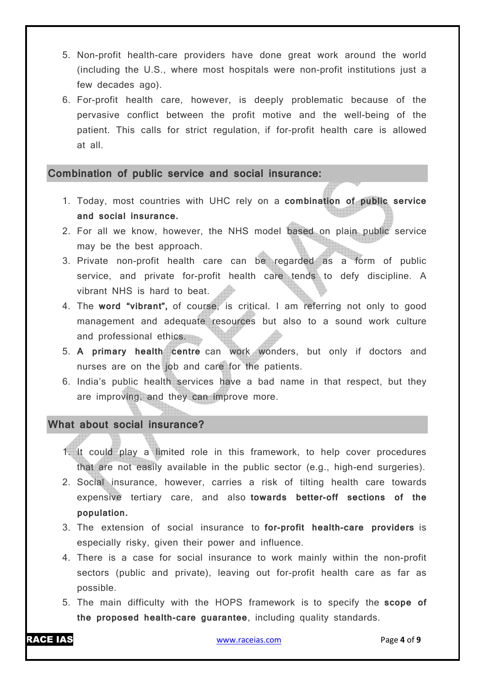- 5. Non-profit health-care providers have done great work around the world (including the U.S., where most hospitals were non-profit institutions just a few decades ago).
- 6. For-profit health care, however, is deeply problematic because of the pervasive conflict between the profit motive and the well-being of the patient. This calls for strict regulation, if for-profit health care is allowed at all.

#### **Combination of public service and social insurance:**

- 1. Today, most countries with UHC rely on a **combination of public service and social insurance.**
- 2. For all we know, however, the NHS model based on plain public service may be the best approach.
- 3. Private non-profit health care can be regarded as a form of public service, and private for-profit health care tends to defy discipline. A vibrant NHS is hard to beat.
- 4. The **word "vibrant",** of course, is critical. I am referring not only to good management and adequate resources but also to a sound work culture and professional ethics.
- 5. **A primary health centre** can work wonders, but only if doctors and nurses are on the job and care for the patients.
- 6. India's public health services have a bad name in that respect, but they are improving, and they can improve more.

# **What about social insurance?**

- 1. It could play a limited role in this framework, to help cover procedures that are not easily available in the public sector (e.g., high-end surgeries).
- 2. Social insurance, however, carries a risk of tilting health care towards expensive tertiary care, and also **towards better-off sections of the population.**
- 3. The extension of social insurance to **for-profit health-care providers** is especially risky, given their power and influence.
- 4. There is a case for social insurance to work mainly within the non-profit sectors (public and private), leaving out for-profit health care as far as possible.
- 5. The main difficulty with the HOPS framework is to specify the **scope of the proposed health-care guarantee**, including quality standards.

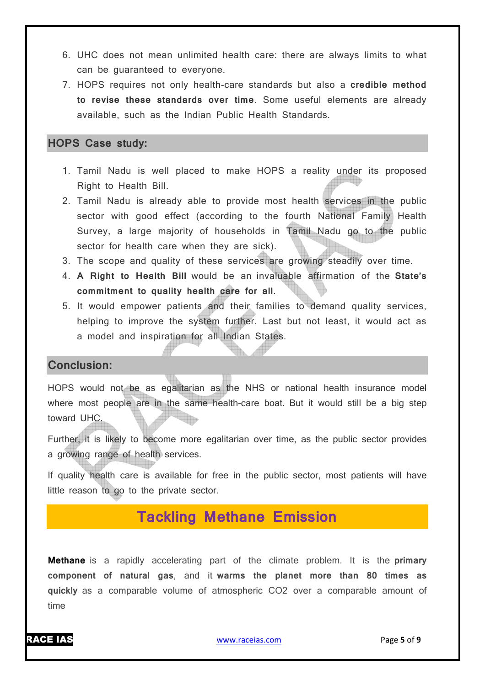- 6. UHC does not mean unlimited health care: there are always limits to what can be guaranteed to everyone.
- 7. HOPS requires not only health-care standards but also a **credible method to revise these standards over time**. Some useful elements are already available, such as the Indian Public Health Standards.

# **HOPS Case study:**

- 1. Tamil Nadu is well placed to make HOPS a reality under its proposed Right to Health Bill.
- 2. Tamil Nadu is already able to provide most health services in the public sector with good effect (according to the fourth National Family Health Survey, a large majority of households in Tamil Nadu go to the public sector for health care when they are sick).
- 3. The scope and quality of these services are growing steadily over time.
- 4. **A Right to Health Bill** would be an invaluable affirmation of the **State's commitment to quality health care for all**.
- 5. It would empower patients and their families to demand quality services, helping to improve the system further. Last but not least, it would act as a model and inspiration for all Indian States.

# **Conclusion:**

HOPS would not be as egalitarian as the NHS or national health insurance model where most people are in the same health-care boat. But it would still be a big step toward UHC.

Further, it is likely to become more egalitarian over time, as the public sector provides a growing range of health services.

If quality health care is available for free in the public sector, most patients will have little reason to go to the private sector.

# **Tackling Methane Emission**

**Methane** is a rapidly accelerating part of the climate problem. It is the **primary component of natural gas**, and it **warms the planet more than 80 times as quickly** as a comparable volume of atmospheric CO2 over a comparable amount of time

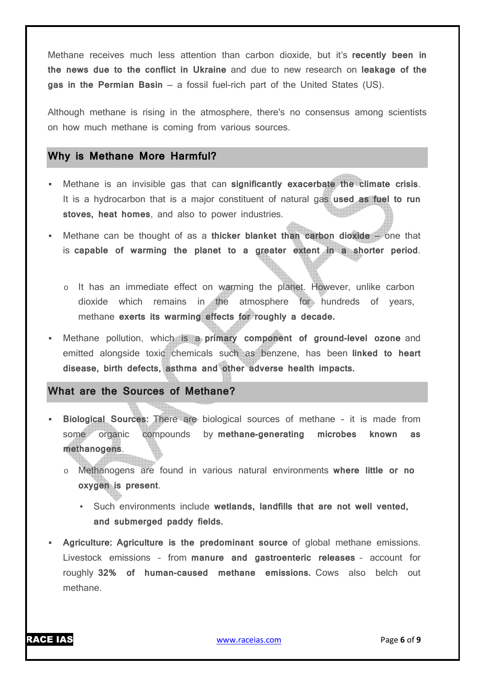Methane receives much less attention than carbon dioxide, but it's **recently been in the news due to the conflict in Ukraine** and due to new research on **leakage of the gas in the Permian Basin** — a fossil fuel-rich part of the United States (US).

Although methane is rising in the atmosphere, there's no consensus among scientists on how much methane is coming from various sources.

#### **Why is Methane More Harmful?**

- Methane is an invisible gas that can **significantly exacerbate the climate crisis**. It is a hydrocarbon that is a major constituent of natural gas **used as fuel to run stoves, heat homes**, and also to power industries.
- Methane can be thought of as a **thicker blanket than carbon dioxide** one that is **capable of warming the planet to a greater extent in a shorter period**.
	- o It has an immediate effect on warming the planet. However, unlike carbon dioxide which remains in the atmosphere for hundreds of years, methane **exerts its warming effects for roughly a decade.**
- Methane pollution, which is a **primary component of ground-level ozone** and emitted alongside toxic chemicals such as benzene, has been **linked to heart disease, birth defects, asthma and other adverse health impacts.**

## **What are the Sources of Methane?**

- **Biological Sources:** There are biological sources of methane it is made from some organic compounds by **methane-generating microbes known as methanogens**.
	- o Methanogens are found in various natural environments **where little or no oxygen is present**.
		- Such environments include **wetlands, landfills that are not well vented, and submerged paddy fields.**
- **Agriculture: Agriculture is the predominant source** of global methane emissions. Livestock emissions – from **manure and gastroenteric releases** – account for roughly **32% of human-caused methane emissions.** Cows also belch out methane.

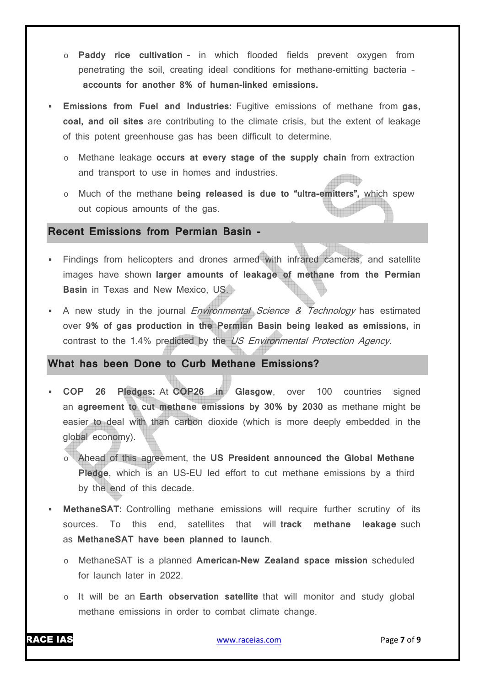- o **Paddy rice cultivation** in which flooded fields prevent oxygen from penetrating the soil, creating ideal conditions for methane-emitting bacteria – **accounts for another 8% of human-linked emissions.**
- **Emissions from Fuel and Industries:** Fugitive emissions of methane from **gas, coal, and oil sites** are contributing to the climate crisis, but the extent of leakage of this potent greenhouse gas has been difficult to determine.
	- o Methane leakage **occurs at every stage of the supply chain** from extraction and transport to use in homes and industries.
	- o Much of the methane **being released is due to "ultra-emitters",** which spew out copious amounts of the gas.

#### **Recent Emissions from Permian Basin -**

- Findings from helicopters and drones armed with infrared cameras, and satellite images have shown **larger amounts of leakage of methane from the Permian Basin** in Texas and New Mexico, US.
- A new study in the journal *Environmental Science & Technology* has estimated over **9% of gas production in the Permian Basin being leaked as emissions,** in contrast to the 1.4% predicted by the US Environmental Protection Agency.

# **What has been Done to Curb Methane Emissions?**

- **COP 26 Pledges:** At **COP26 in Glasgow**, over 100 countries signed an **agreement to cut methane emissions by 30% by 2030** as methane might be easier to deal with than carbon dioxide (which is more deeply embedded in the global economy).
	- o Ahead of this agreement, the **US President announced the Global Methane Pledge**, which is an US-EU led effort to cut methane emissions by a third by the end of this decade.
- **MethaneSAT:** Controlling methane emissions will require further scrutiny of its sources. To this end, satellites that will **track methane leakage** such as **MethaneSAT have been planned to launch**.
	- o MethaneSAT is a planned **American-New Zealand space mission** scheduled for launch later in 2022.
	- o It will be an **Earth observation satellite** that will monitor and study global methane emissions in order to combat climate change.

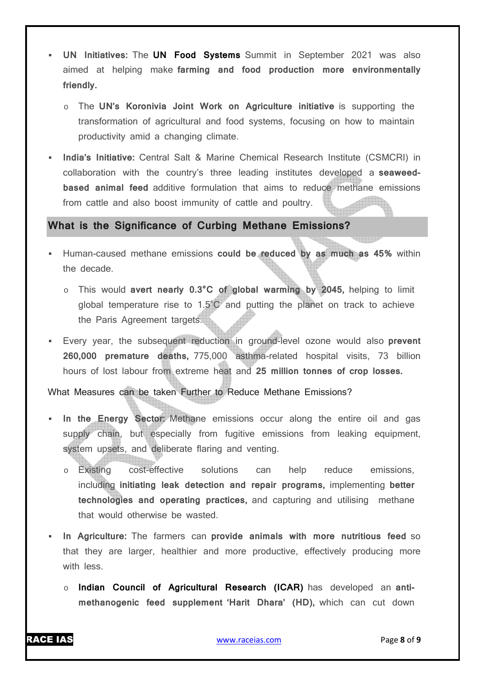- **UN Initiatives:** The **UN Food Systems** Summit in September 2021 was also aimed at helping make **farming and food production more environmentally friendly.**
	- o The **UN's Koronivia Joint Work on Agriculture initiative** is supporting the transformation of agricultural and food systems, focusing on how to maintain productivity amid a changing climate.
- **India's Initiative:** Central Salt & Marine Chemical Research Institute (CSMCRI) in collaboration with the country's three leading institutes developed a **seaweedbased animal feed** additive formulation that aims to reduce methane emissions from cattle and also boost immunity of cattle and poultry.

# **What is the Significance of Curbing Methane Emissions?**

- Human-caused methane emissions **could be reduced by as much as 45%** within the decade.
	- o This would **avert nearly 0.3°C of global warming by 2045,** helping to limit global temperature rise to 1.5˚C and putting the planet on track to achieve the Paris Agreement targets.
- Every year, the subsequent reduction in ground-level ozone would also **prevent 260,000 premature deaths,** 775,000 asthma-related hospital visits, 73 billion hours of lost labour from extreme heat and **25 million tonnes of crop losses.**

What Measures can be taken Further to Reduce Methane Emissions?

- **In the Energy Sector:** Methane emissions occur along the entire oil and gas supply chain, but especially from fugitive emissions from leaking equipment, system upsets, and deliberate flaring and venting.
	- o Existing cost-effective solutions can help reduce emissions, including **initiating leak detection and repair programs,** implementing **better technologies and operating practices,** and capturing and utilising methane that would otherwise be wasted.
- **In Agriculture:** The farmers can **provide animals with more nutritious feed** so that they are larger, healthier and more productive, effectively producing more with less.
	- o **Indian Council of Agricultural Research (ICAR)** has developed an **antimethanogenic feed supplement 'Harit Dhara' (HD),** which can cut down